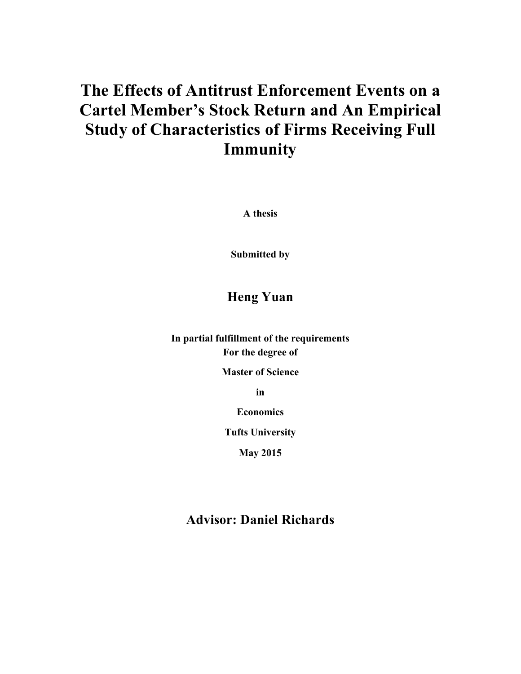# **The Effects of Antitrust Enforcement Events on a Cartel Member's Stock Return and An Empirical Study of Characteristics of Firms Receiving Full Immunity**

**A thesis**

**Submitted by**

# **Heng Yuan**

**In partial fulfillment of the requirements For the degree of**

**Master of Science**

**in**

**Economics**

**Tufts University**

**May 2015**

## **Advisor: Daniel Richards**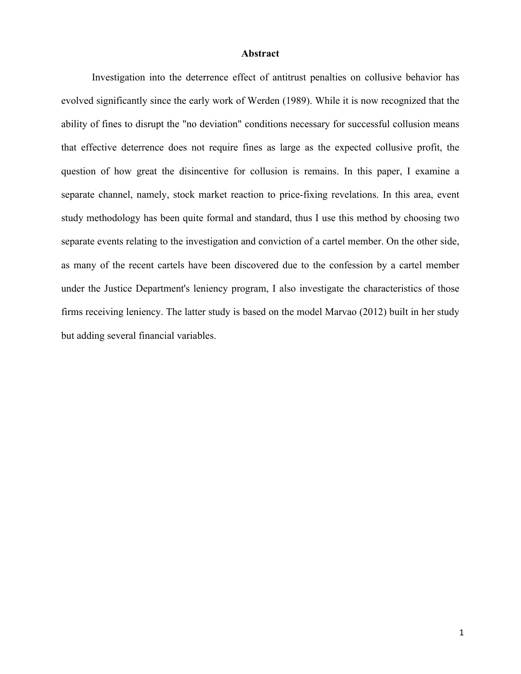#### **Abstract**

Investigation into the deterrence effect of antitrust penalties on collusive behavior has evolved significantly since the early work of Werden (1989). While it is now recognized that the ability of fines to disrupt the "no deviation" conditions necessary for successful collusion means that effective deterrence does not require fines as large as the expected collusive profit, the question of how great the disincentive for collusion is remains. In this paper, I examine a separate channel, namely, stock market reaction to price-fixing revelations. In this area, event study methodology has been quite formal and standard, thus I use this method by choosing two separate events relating to the investigation and conviction of a cartel member. On the other side, as many of the recent cartels have been discovered due to the confession by a cartel member under the Justice Department's leniency program, I also investigate the characteristics of those firms receiving leniency. The latter study is based on the model Marvao (2012) built in her study but adding several financial variables.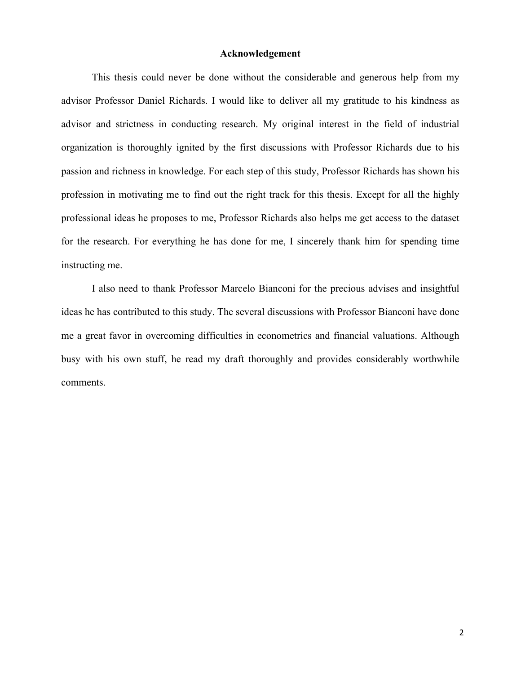#### **Acknowledgement**

This thesis could never be done without the considerable and generous help from my advisor Professor Daniel Richards. I would like to deliver all my gratitude to his kindness as advisor and strictness in conducting research. My original interest in the field of industrial organization is thoroughly ignited by the first discussions with Professor Richards due to his passion and richness in knowledge. For each step of this study, Professor Richards has shown his profession in motivating me to find out the right track for this thesis. Except for all the highly professional ideas he proposes to me, Professor Richards also helps me get access to the dataset for the research. For everything he has done for me, I sincerely thank him for spending time instructing me.

I also need to thank Professor Marcelo Bianconi for the precious advises and insightful ideas he has contributed to this study. The several discussions with Professor Bianconi have done me a great favor in overcoming difficulties in econometrics and financial valuations. Although busy with his own stuff, he read my draft thoroughly and provides considerably worthwhile comments.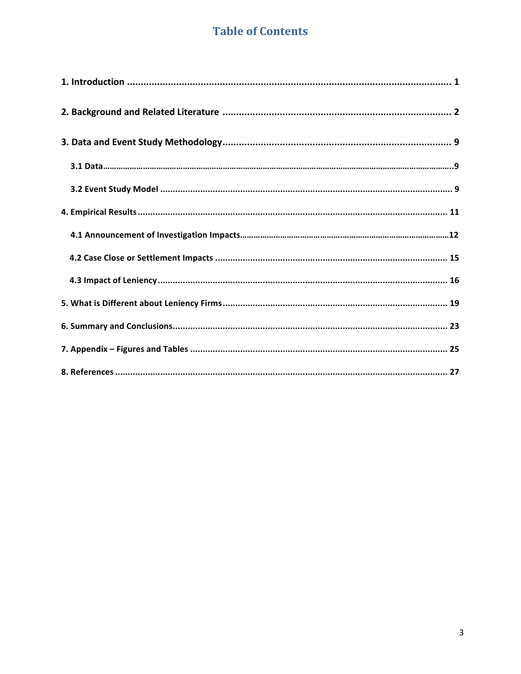# **Table of Contents**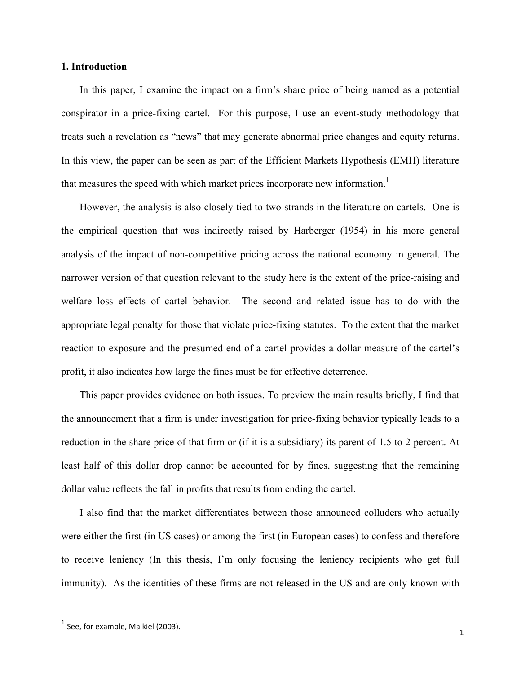#### **1. Introduction**

In this paper, I examine the impact on a firm's share price of being named as a potential conspirator in a price-fixing cartel. For this purpose, I use an event-study methodology that treats such a revelation as "news" that may generate abnormal price changes and equity returns. In this view, the paper can be seen as part of the Efficient Markets Hypothesis (EMH) literature that measures the speed with which market prices incorporate new information.<sup>1</sup>

However, the analysis is also closely tied to two strands in the literature on cartels. One is the empirical question that was indirectly raised by Harberger (1954) in his more general analysis of the impact of non-competitive pricing across the national economy in general. The narrower version of that question relevant to the study here is the extent of the price-raising and welfare loss effects of cartel behavior. The second and related issue has to do with the appropriate legal penalty for those that violate price-fixing statutes. To the extent that the market reaction to exposure and the presumed end of a cartel provides a dollar measure of the cartel's profit, it also indicates how large the fines must be for effective deterrence.

This paper provides evidence on both issues. To preview the main results briefly, I find that the announcement that a firm is under investigation for price-fixing behavior typically leads to a reduction in the share price of that firm or (if it is a subsidiary) its parent of 1.5 to 2 percent. At least half of this dollar drop cannot be accounted for by fines, suggesting that the remaining dollar value reflects the fall in profits that results from ending the cartel.

I also find that the market differentiates between those announced colluders who actually were either the first (in US cases) or among the first (in European cases) to confess and therefore to receive leniency (In this thesis, I'm only focusing the leniency recipients who get full immunity). As the identities of these firms are not released in the US and are only known with

<sup>&</sup>lt;u> 1989 - Johann Stein, fransk politik (d. 1989)</u>  $<sup>1</sup>$  See, for example, Malkiel (2003).</sup>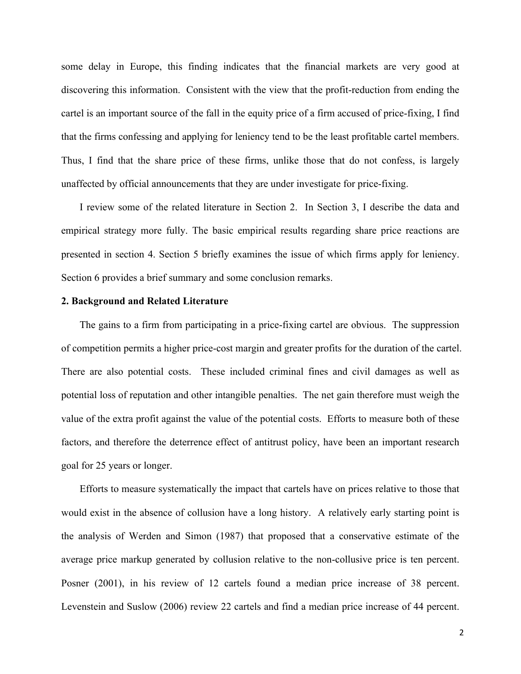some delay in Europe, this finding indicates that the financial markets are very good at discovering this information. Consistent with the view that the profit-reduction from ending the cartel is an important source of the fall in the equity price of a firm accused of price-fixing, I find that the firms confessing and applying for leniency tend to be the least profitable cartel members. Thus, I find that the share price of these firms, unlike those that do not confess, is largely unaffected by official announcements that they are under investigate for price-fixing.

I review some of the related literature in Section 2. In Section 3, I describe the data and empirical strategy more fully. The basic empirical results regarding share price reactions are presented in section 4. Section 5 briefly examines the issue of which firms apply for leniency. Section 6 provides a brief summary and some conclusion remarks.

#### **2. Background and Related Literature**

The gains to a firm from participating in a price-fixing cartel are obvious. The suppression of competition permits a higher price-cost margin and greater profits for the duration of the cartel. There are also potential costs. These included criminal fines and civil damages as well as potential loss of reputation and other intangible penalties. The net gain therefore must weigh the value of the extra profit against the value of the potential costs. Efforts to measure both of these factors, and therefore the deterrence effect of antitrust policy, have been an important research goal for 25 years or longer.

Efforts to measure systematically the impact that cartels have on prices relative to those that would exist in the absence of collusion have a long history. A relatively early starting point is the analysis of Werden and Simon (1987) that proposed that a conservative estimate of the average price markup generated by collusion relative to the non-collusive price is ten percent. Posner (2001), in his review of 12 cartels found a median price increase of 38 percent. Levenstein and Suslow (2006) review 22 cartels and find a median price increase of 44 percent.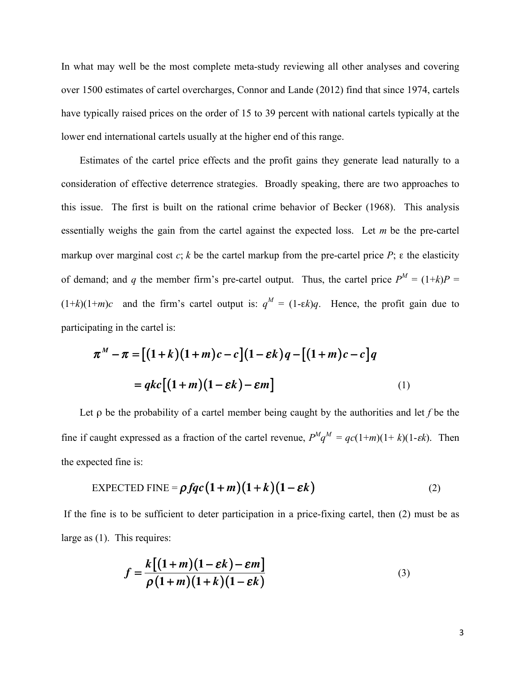In what may well be the most complete meta-study reviewing all other analyses and covering over 1500 estimates of cartel overcharges, Connor and Lande (2012) find that since 1974, cartels have typically raised prices on the order of 15 to 39 percent with national cartels typically at the lower end international cartels usually at the higher end of this range.

Estimates of the cartel price effects and the profit gains they generate lead naturally to a consideration of effective deterrence strategies. Broadly speaking, there are two approaches to this issue. The first is built on the rational crime behavior of Becker (1968). This analysis essentially weighs the gain from the cartel against the expected loss. Let *m* be the pre-cartel markup over marginal cost  $c$ ;  $k$  be the cartel markup from the pre-cartel price  $P$ ;  $\varepsilon$  the elasticity of demand; and *q* the member firm's pre-cartel output. Thus, the cartel price  $P^M = (1+k)P =$  $(1+k)(1+m)c$  and the firm's cartel output is:  $q^M = (1-\varepsilon k)q$ . Hence, the profit gain due to participating in the cartel is:

$$
\pi^M - \pi = [(1+k)(1+m)c - c](1 - \varepsilon k)q - [(1+m)c - c]q
$$

$$
= qkc[(1+m)(1 - \varepsilon k) - \varepsilon m]
$$
(1)

Let ρ be the probability of a cartel member being caught by the authorities and let *f* be the fine if caught expressed as a fraction of the cartel revenue,  $P^{M}q^{M} = qc(1+m)(1+k)(1-\epsilon k)$ . Then the expected fine is:

$$
\text{EXPECTED FINE} = \rho fqc(1+m)(1+k)(1-\varepsilon k) \tag{2}
$$

If the fine is to be sufficient to deter participation in a price-fixing cartel, then (2) must be as large as (1). This requires:

$$
f = \frac{k[(1+m)(1-\varepsilon k)-\varepsilon m]}{\rho(1+m)(1+k)(1-\varepsilon k)}
$$
\n(3)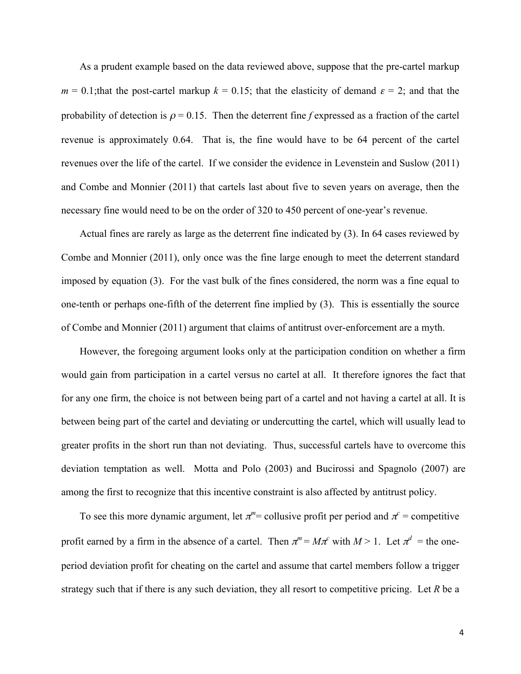As a prudent example based on the data reviewed above, suppose that the pre-cartel markup  $m = 0.1$ ; that the post-cartel markup  $k = 0.15$ ; that the elasticity of demand  $\varepsilon = 2$ ; and that the probability of detection is  $\rho = 0.15$ . Then the deterrent fine *f* expressed as a fraction of the cartel revenue is approximately 0.64. That is, the fine would have to be 64 percent of the cartel revenues over the life of the cartel. If we consider the evidence in Levenstein and Suslow (2011) and Combe and Monnier (2011) that cartels last about five to seven years on average, then the necessary fine would need to be on the order of 320 to 450 percent of one-year's revenue.

Actual fines are rarely as large as the deterrent fine indicated by (3). In 64 cases reviewed by Combe and Monnier (2011), only once was the fine large enough to meet the deterrent standard imposed by equation (3). For the vast bulk of the fines considered, the norm was a fine equal to one-tenth or perhaps one-fifth of the deterrent fine implied by (3). This is essentially the source of Combe and Monnier (2011) argument that claims of antitrust over-enforcement are a myth.

However, the foregoing argument looks only at the participation condition on whether a firm would gain from participation in a cartel versus no cartel at all. It therefore ignores the fact that for any one firm, the choice is not between being part of a cartel and not having a cartel at all. It is between being part of the cartel and deviating or undercutting the cartel, which will usually lead to greater profits in the short run than not deviating. Thus, successful cartels have to overcome this deviation temptation as well. Motta and Polo (2003) and Bucirossi and Spagnolo (2007) are among the first to recognize that this incentive constraint is also affected by antitrust policy.

To see this more dynamic argument, let  $\pi^m$  = collusive profit per period and  $\pi^c$  = competitive profit earned by a firm in the absence of a cartel. Then  $\pi^m = M \pi^c$  with  $M > 1$ . Let  $\pi^d$  = the oneperiod deviation profit for cheating on the cartel and assume that cartel members follow a trigger strategy such that if there is any such deviation, they all resort to competitive pricing. Let *R* be a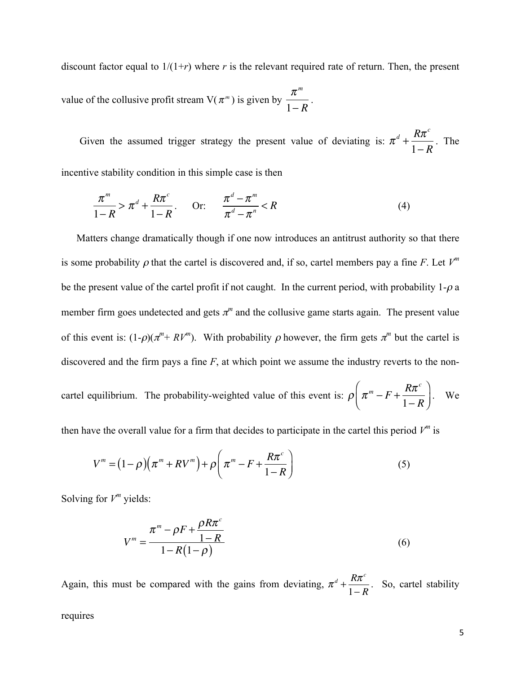discount factor equal to  $1/(1+r)$  where *r* is the relevant required rate of return. Then, the present value of the collusive profit stream  $V(\pi^m)$  is given by <sup>π</sup>*<sup>m</sup>*  $\frac{n}{1-R}$ .

Given the assumed trigger strategy the present value of deviating is:  $\pi^d$  + *R*π*<sup>c</sup>* 1− *R* . The

incentive stability condition in this simple case is then

$$
\frac{\pi^m}{1-R} > \pi^d + \frac{R\pi^c}{1-R} \quad \text{Or:} \quad \frac{\pi^d - \pi^m}{\pi^d - \pi^n} < R \tag{4}
$$

Matters change dramatically though if one now introduces an antitrust authority so that there is some probability  $\rho$  that the cartel is discovered and, if so, cartel members pay a fine *F*. Let  $V^m$ be the present value of the cartel profit if not caught. In the current period, with probability  $1-\rho$  a member firm goes undetected and gets  $\pi^m$  and the collusive game starts again. The present value of this event is:  $(1-\rho)(\pi^m+RV^m)$ . With probability  $\rho$  however, the firm gets  $\pi^m$  but the cartel is discovered and the firm pays a fine *F*, at which point we assume the industry reverts to the noncartel equilibrium. The probability-weighted value of this event is:  $\rho | \pi^m - F +$  $R\pi$ <sup>c</sup> 1− *R*  $\sqrt{}$  $\overline{\mathcal{N}}$ ⎞  $\left| \cdot \right|$  We

then have the overall value for a firm that decides to participate in the cartel this period  $V^m$  is

$$
V^{m} = (1 - \rho)\left(\pi^{m} + RV^{m}\right) + \rho\left(\pi^{m} - F + \frac{R\pi^{c}}{1 - R}\right)
$$
\n<sup>(5)</sup>

Solving for  $V^m$  yields:

$$
V^{m} = \frac{\pi^{m} - \rho F + \frac{\rho R \pi^{c}}{1 - R}}{1 - R(1 - \rho)}
$$
(6)

Again, this must be compared with the gains from deviating,  $\pi^d + \frac{R\pi^c}{4\pi^c}$  $\frac{R}{1-R}$ . So, cartel stability

requires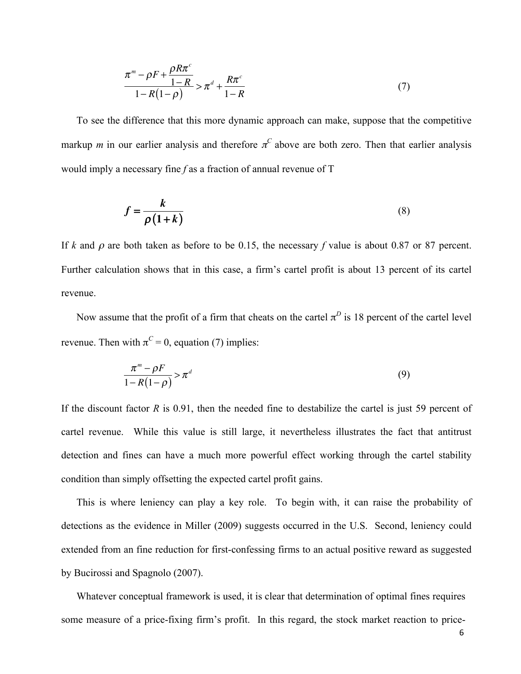$$
\frac{\pi^{m} - \rho F + \frac{\rho R \pi^{c}}{1 - R}}{1 - R(1 - \rho)} > \pi^{d} + \frac{R \pi^{c}}{1 - R}
$$
\n(7)

To see the difference that this more dynamic approach can make, suppose that the competitive markup *m* in our earlier analysis and therefore  $\pi^C$  above are both zero. Then that earlier analysis would imply a necessary fine *f* as a fraction of annual revenue of T

$$
f = \frac{k}{\rho(1+k)}\tag{8}
$$

If *k* and <sup>ρ</sup> are both taken as before to be 0.15, the necessary *f* value is about 0.87 or 87 percent. Further calculation shows that in this case, a firm's cartel profit is about 13 percent of its cartel revenue.

Now assume that the profit of a firm that cheats on the cartel  $\pi^D$  is 18 percent of the cartel level revenue. Then with  $\pi^C = 0$ , equation (7) implies:

$$
\frac{\pi^m - \rho F}{1 - R(1 - \rho)} > \pi^d \tag{9}
$$

If the discount factor *R* is 0.91, then the needed fine to destabilize the cartel is just 59 percent of cartel revenue. While this value is still large, it nevertheless illustrates the fact that antitrust detection and fines can have a much more powerful effect working through the cartel stability condition than simply offsetting the expected cartel profit gains.

This is where leniency can play a key role. To begin with, it can raise the probability of detections as the evidence in Miller (2009) suggests occurred in the U.S. Second, leniency could extended from an fine reduction for first-confessing firms to an actual positive reward as suggested by Bucirossi and Spagnolo (2007).

Whatever conceptual framework is used, it is clear that determination of optimal fines requires some measure of a price-fixing firm's profit. In this regard, the stock market reaction to price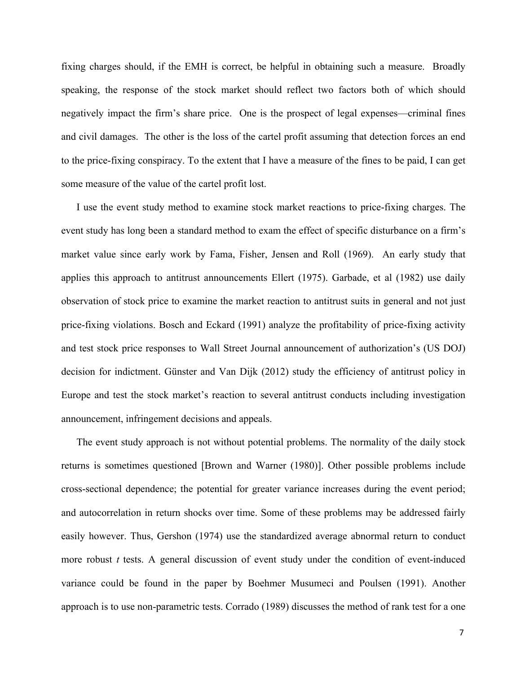fixing charges should, if the EMH is correct, be helpful in obtaining such a measure. Broadly speaking, the response of the stock market should reflect two factors both of which should negatively impact the firm's share price. One is the prospect of legal expenses—criminal fines and civil damages. The other is the loss of the cartel profit assuming that detection forces an end to the price-fixing conspiracy. To the extent that I have a measure of the fines to be paid, I can get some measure of the value of the cartel profit lost.

I use the event study method to examine stock market reactions to price-fixing charges. The event study has long been a standard method to exam the effect of specific disturbance on a firm's market value since early work by Fama, Fisher, Jensen and Roll (1969). An early study that applies this approach to antitrust announcements Ellert (1975). Garbade, et al (1982) use daily observation of stock price to examine the market reaction to antitrust suits in general and not just price-fixing violations. Bosch and Eckard (1991) analyze the profitability of price-fixing activity and test stock price responses to Wall Street Journal announcement of authorization's (US DOJ) decision for indictment. Günster and Van Dijk (2012) study the efficiency of antitrust policy in Europe and test the stock market's reaction to several antitrust conducts including investigation announcement, infringement decisions and appeals.

The event study approach is not without potential problems. The normality of the daily stock returns is sometimes questioned [Brown and Warner (1980)]. Other possible problems include cross-sectional dependence; the potential for greater variance increases during the event period; and autocorrelation in return shocks over time. Some of these problems may be addressed fairly easily however. Thus, Gershon (1974) use the standardized average abnormal return to conduct more robust *t* tests. A general discussion of event study under the condition of event-induced variance could be found in the paper by Boehmer Musumeci and Poulsen (1991). Another approach is to use non-parametric tests. Corrado (1989) discusses the method of rank test for a one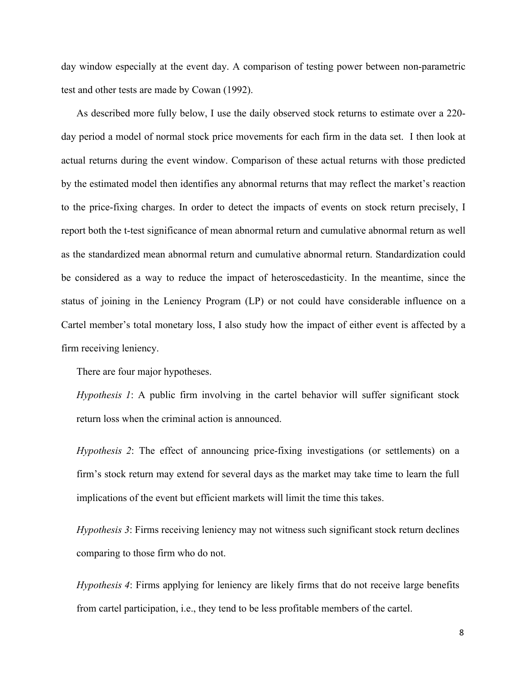day window especially at the event day. A comparison of testing power between non-parametric test and other tests are made by Cowan (1992).

As described more fully below, I use the daily observed stock returns to estimate over a 220 day period a model of normal stock price movements for each firm in the data set. I then look at actual returns during the event window. Comparison of these actual returns with those predicted by the estimated model then identifies any abnormal returns that may reflect the market's reaction to the price-fixing charges. In order to detect the impacts of events on stock return precisely, I report both the t-test significance of mean abnormal return and cumulative abnormal return as well as the standardized mean abnormal return and cumulative abnormal return. Standardization could be considered as a way to reduce the impact of heteroscedasticity. In the meantime, since the status of joining in the Leniency Program (LP) or not could have considerable influence on a Cartel member's total monetary loss, I also study how the impact of either event is affected by a firm receiving leniency.

There are four major hypotheses.

*Hypothesis 1*: A public firm involving in the cartel behavior will suffer significant stock return loss when the criminal action is announced.

*Hypothesis 2*: The effect of announcing price-fixing investigations (or settlements) on a firm's stock return may extend for several days as the market may take time to learn the full implications of the event but efficient markets will limit the time this takes.

*Hypothesis 3*: Firms receiving leniency may not witness such significant stock return declines comparing to those firm who do not.

*Hypothesis 4*: Firms applying for leniency are likely firms that do not receive large benefits from cartel participation, i.e., they tend to be less profitable members of the cartel.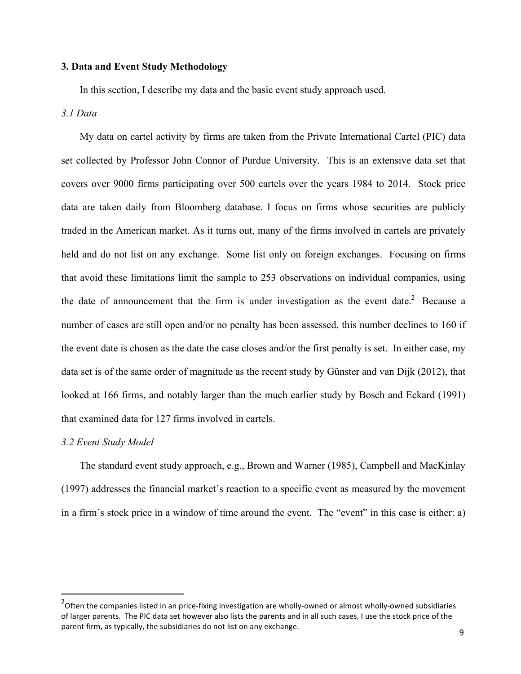#### **3. Data and Event Study Methodology**

In this section, I describe my data and the basic event study approach used.

#### *3.1 Data*

My data on cartel activity by firms are taken from the Private International Cartel (PIC) data set collected by Professor John Connor of Purdue University. This is an extensive data set that covers over 9000 firms participating over 500 cartels over the years 1984 to 2014. Stock price data are taken daily from Bloomberg database. I focus on firms whose securities are publicly traded in the American market. As it turns out, many of the firms involved in cartels are privately held and do not list on any exchange. Some list only on foreign exchanges. Focusing on firms that avoid these limitations limit the sample to 253 observations on individual companies, using the date of announcement that the firm is under investigation as the event date.<sup>2</sup> Because a number of cases are still open and/or no penalty has been assessed, this number declines to 160 if the event date is chosen as the date the case closes and/or the first penalty is set. In either case, my data set is of the same order of magnitude as the recent study by Günster and van Dijk (2012), that looked at 166 firms, and notably larger than the much earlier study by Bosch and Eckard (1991) that examined data for 127 firms involved in cartels.

#### *3.2 Event Study Model*

 

The standard event study approach, e.g., Brown and Warner (1985), Campbell and MacKinlay (1997) addresses the financial market's reaction to a specific event as measured by the movement in a firm's stock price in a window of time around the event. The "event" in this case is either: a)

 $2$ Often the companies listed in an price-fixing investigation are wholly-owned or almost wholly-owned subsidiaries of larger parents. The PIC data set however also lists the parents and in all such cases, I use the stock price of the parent firm, as typically, the subsidiaries do not list on any exchange.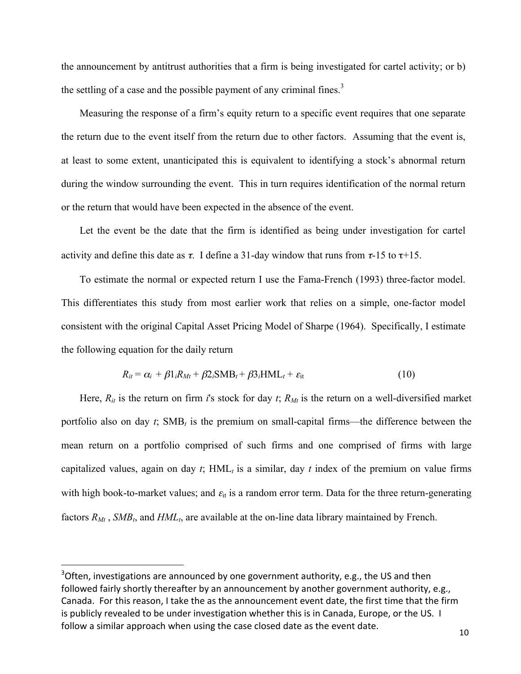the announcement by antitrust authorities that a firm is being investigated for cartel activity; or b) the settling of a case and the possible payment of any criminal fines.<sup>3</sup>

Measuring the response of a firm's equity return to a specific event requires that one separate the return due to the event itself from the return due to other factors. Assuming that the event is, at least to some extent, unanticipated this is equivalent to identifying a stock's abnormal return during the window surrounding the event. This in turn requires identification of the normal return or the return that would have been expected in the absence of the event.

Let the event be the date that the firm is identified as being under investigation for cartel activity and define this date as  $\tau$ . I define a 31-day window that runs from  $\tau$ -15 to  $\tau$ +15.

To estimate the normal or expected return I use the Fama-French (1993) three-factor model. This differentiates this study from most earlier work that relies on a simple, one-factor model consistent with the original Capital Asset Pricing Model of Sharpe (1964). Specifically, I estimate the following equation for the daily return

$$
R_{it} = \alpha_i + \beta 1_i R_{Mt} + \beta 2_i \text{SMB}_t + \beta 3_i \text{HML}_t + \varepsilon_{it}
$$
\n(10)

Here,  $R_{it}$  is the return on firm *i*'s stock for day *t*;  $R_{Mt}$  is the return on a well-diversified market portfolio also on day *t*; SMB*<sup>t</sup>* is the premium on small-capital firms—the difference between the mean return on a portfolio comprised of such firms and one comprised of firms with large capitalized values, again on day  $t$ ;  $HML<sub>t</sub>$  is a similar, day  $t$  index of the premium on value firms with high book-to-market values; and  $\varepsilon_{it}$  is a random error term. Data for the three return-generating factors  $R_{Mt}$ ,  $SMB_t$ , and  $HML_t$ , are available at the on-line data library maintained by French.

 

 $3$ Often, investigations are announced by one government authority, e.g., the US and then followed fairly shortly thereafter by an announcement by another government authority, e.g., Canada. For this reason, I take the as the announcement event date, the first time that the firm is publicly revealed to be under investigation whether this is in Canada, Europe, or the US. I follow a similar approach when using the case closed date as the event date.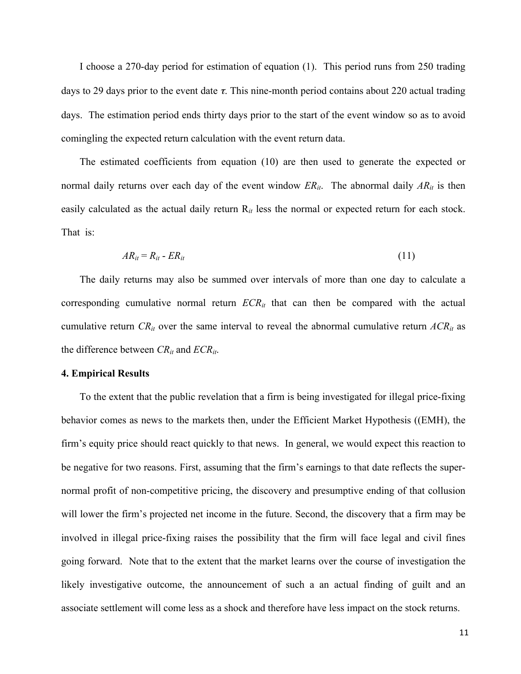I choose a 270-day period for estimation of equation (1). This period runs from 250 trading days to 29 days prior to the event date  $\tau$ . This nine-month period contains about 220 actual trading days. The estimation period ends thirty days prior to the start of the event window so as to avoid comingling the expected return calculation with the event return data.

The estimated coefficients from equation (10) are then used to generate the expected or normal daily returns over each day of the event window  $ER_{it}$ . The abnormal daily  $AR_{it}$  is then easily calculated as the actual daily return R*it* less the normal or expected return for each stock. That is:

$$
AR_{it} = R_{it} - ER_{it} \tag{11}
$$

The daily returns may also be summed over intervals of more than one day to calculate a corresponding cumulative normal return  $ECR_{it}$  that can then be compared with the actual cumulative return  $CR_{it}$  over the same interval to reveal the abnormal cumulative return  $ACR_{it}$  as the difference between *CRit* and *ECRit*.

#### **4. Empirical Results**

To the extent that the public revelation that a firm is being investigated for illegal price-fixing behavior comes as news to the markets then, under the Efficient Market Hypothesis ((EMH), the firm's equity price should react quickly to that news. In general, we would expect this reaction to be negative for two reasons. First, assuming that the firm's earnings to that date reflects the supernormal profit of non-competitive pricing, the discovery and presumptive ending of that collusion will lower the firm's projected net income in the future. Second, the discovery that a firm may be involved in illegal price-fixing raises the possibility that the firm will face legal and civil fines going forward. Note that to the extent that the market learns over the course of investigation the likely investigative outcome, the announcement of such a an actual finding of guilt and an associate settlement will come less as a shock and therefore have less impact on the stock returns.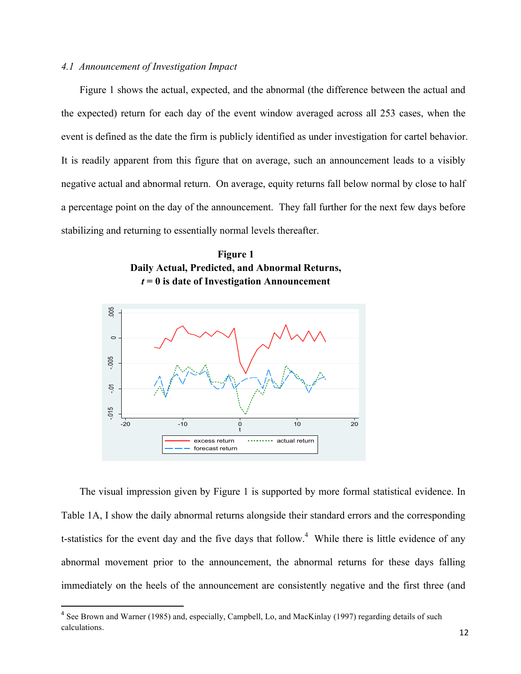#### *4.1 Announcement of Investigation Impact*

Figure 1 shows the actual, expected, and the abnormal (the difference between the actual and the expected) return for each day of the event window averaged across all 253 cases, when the event is defined as the date the firm is publicly identified as under investigation for cartel behavior. It is readily apparent from this figure that on average, such an announcement leads to a visibly negative actual and abnormal return. On average, equity returns fall below normal by close to half a percentage point on the day of the announcement. They fall further for the next few days before stabilizing and returning to essentially normal levels thereafter.





The visual impression given by Figure 1 is supported by more formal statistical evidence. In Table 1A, I show the daily abnormal returns alongside their standard errors and the corresponding t-statistics for the event day and the five days that follow.<sup>4</sup> While there is little evidence of any abnormal movement prior to the announcement, the abnormal returns for these days falling immediately on the heels of the announcement are consistently negative and the first three (and

<u> 1989 - Johann Stein, fransk politik (d. 1989)</u>

<sup>&</sup>lt;sup>4</sup> See Brown and Warner (1985) and, especially, Campbell, Lo, and MacKinlay (1997) regarding details of such calculations.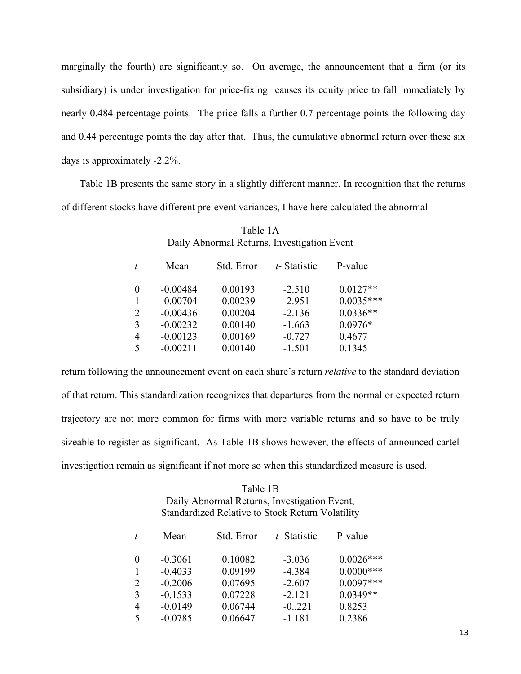marginally the fourth) are significantly so. On average, the announcement that a firm (or its subsidiary) is under investigation for price-fixing causes its equity price to fall immediately by nearly 0.484 percentage points. The price falls a further 0.7 percentage points the following day and 0.44 percentage points the day after that. Thus, the cumulative abnormal return over these six days is approximately -2.2%.

Table 1B presents the same story in a slightly different manner. In recognition that the returns of different stocks have different pre-event variances, I have here calculated the abnormal

|                             | Mean       | Std. Error | t-Statistic | P-value     |
|-----------------------------|------------|------------|-------------|-------------|
| $\theta$                    | $-0.00484$ | 0.00193    | $-2.510$    | $0.0127**$  |
|                             | $-0.00704$ | 0.00239    | $-2.951$    | $0.0035***$ |
| $\mathcal{D}_{\mathcal{L}}$ | $-0.00436$ | 0.00204    | $-2.136$    | $0.0336**$  |
| 3                           | $-0.00232$ | 0.00140    | $-1.663$    | $0.0976*$   |
| 4                           | $-0.00123$ | 0.00169    | $-0.727$    | 0.4677      |
| $\varsigma$                 | $-0.00211$ | 0.00140    | $-1.501$    | 0.1345      |

Table 1A Daily Abnormal Returns, Investigation Event

return following the announcement event on each share's return *relative* to the standard deviation of that return. This standardization recognizes that departures from the normal or expected return trajectory are not more common for firms with more variable returns and so have to be truly sizeable to register as significant. As Table 1B shows however, the effects of announced cartel investigation remain as significant if not more so when this standardized measure is used.

Table 1B Daily Abnormal Returns, Investigation Event, Standardized Relative to Stock Return Volatility

|   | Mean      | Std. Error | t-Statistic | P-value      |
|---|-----------|------------|-------------|--------------|
|   |           |            |             |              |
| 0 | $-0.3061$ | 0.10082    | $-3.036$    | $0.0026***$  |
|   | $-0.4033$ | 0.09199    | $-4.384$    | $0.0000$ *** |
| 2 | $-0.2006$ | 0.07695    | $-2.607$    | $0.0097***$  |
| 3 | $-0.1533$ | 0.07228    | $-2.121$    | $0.0349**$   |
| 4 | $-0.0149$ | 0.06744    | $-0.221$    | 0.8253       |
| 5 | $-0.0785$ | 0.06647    | $-1.181$    | 0.2386       |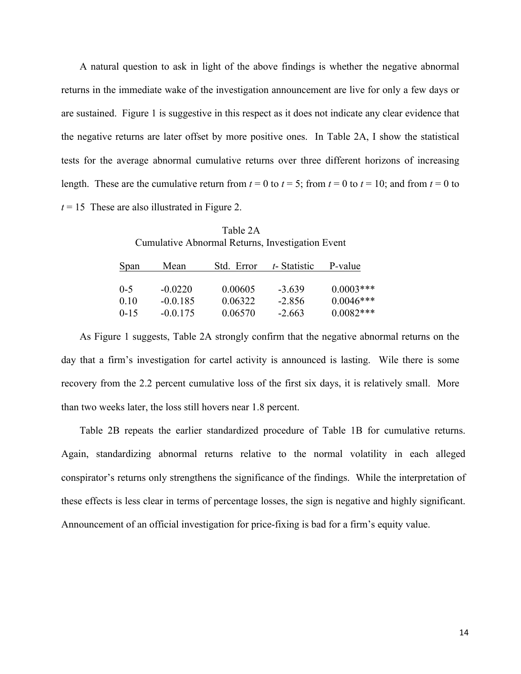A natural question to ask in light of the above findings is whether the negative abnormal returns in the immediate wake of the investigation announcement are live for only a few days or are sustained. Figure 1 is suggestive in this respect as it does not indicate any clear evidence that the negative returns are later offset by more positive ones. In Table 2A, I show the statistical tests for the average abnormal cumulative returns over three different horizons of increasing length. These are the cumulative return from  $t = 0$  to  $t = 5$ ; from  $t = 0$  to  $t = 10$ ; and from  $t = 0$  to  $t = 15$  These are also illustrated in Figure 2.

 Table 2A Cumulative Abnormal Returns, Investigation Event

| Span     | Mean       | Std. Error | t-Statistic | P-value      |
|----------|------------|------------|-------------|--------------|
| $0-5$    | $-0.0220$  | 0.00605    | $-3.639$    | $0.0003$ *** |
| 010      | $-0.0.185$ | 0.06322    | $-2.856$    | $0.0046***$  |
| $0 - 15$ | $-0.0175$  | 0.06570    | $-2.663$    | $0.0082***$  |

As Figure 1 suggests, Table 2A strongly confirm that the negative abnormal returns on the day that a firm's investigation for cartel activity is announced is lasting. Wile there is some recovery from the 2.2 percent cumulative loss of the first six days, it is relatively small. More than two weeks later, the loss still hovers near 1.8 percent.

Table 2B repeats the earlier standardized procedure of Table 1B for cumulative returns. Again, standardizing abnormal returns relative to the normal volatility in each alleged conspirator's returns only strengthens the significance of the findings. While the interpretation of these effects is less clear in terms of percentage losses, the sign is negative and highly significant. Announcement of an official investigation for price-fixing is bad for a firm's equity value.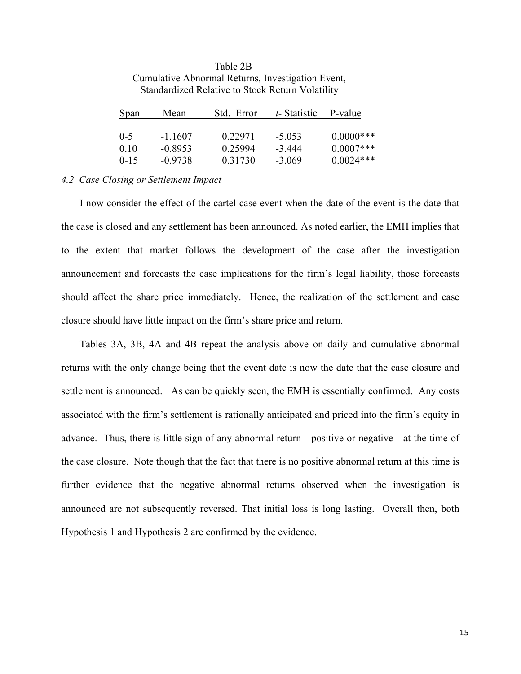| <b>Standardized Relative to Stock Return Volatility</b> |           |            |                        |              |  |
|---------------------------------------------------------|-----------|------------|------------------------|--------------|--|
| <b>Span</b>                                             | Mean      | Std. Error | $t$ -Statistic P-value |              |  |
| $0 - 5$                                                 | $-1.1607$ | 0.22971    | $-5.053$               | $0.0000$ *** |  |
| 0.10                                                    | $-0.8953$ | 0.25994    | $-3.444$               | $0.0007***$  |  |
| $0 - 15$                                                | $-0.9738$ | 0.31730    | $-3.069$               | $0.0024***$  |  |

# Table 2B Cumulative Abnormal Returns, Investigation Event

#### *4.2 Case Closing or Settlement Impact*

I now consider the effect of the cartel case event when the date of the event is the date that the case is closed and any settlement has been announced. As noted earlier, the EMH implies that to the extent that market follows the development of the case after the investigation announcement and forecasts the case implications for the firm's legal liability, those forecasts should affect the share price immediately. Hence, the realization of the settlement and case closure should have little impact on the firm's share price and return.

Tables 3A, 3B, 4A and 4B repeat the analysis above on daily and cumulative abnormal returns with the only change being that the event date is now the date that the case closure and settlement is announced. As can be quickly seen, the EMH is essentially confirmed. Any costs associated with the firm's settlement is rationally anticipated and priced into the firm's equity in advance. Thus, there is little sign of any abnormal return—positive or negative—at the time of the case closure. Note though that the fact that there is no positive abnormal return at this time is further evidence that the negative abnormal returns observed when the investigation is announced are not subsequently reversed. That initial loss is long lasting. Overall then, both Hypothesis 1 and Hypothesis 2 are confirmed by the evidence.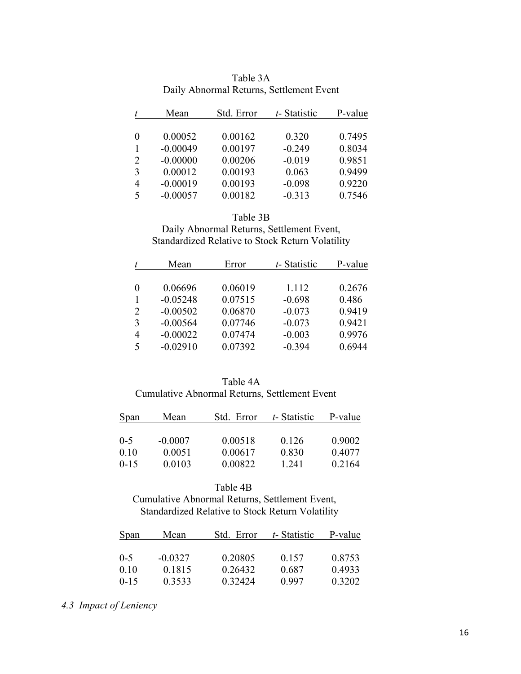|   | Mean       | Std. Error | t-Statistic | P-value |
|---|------------|------------|-------------|---------|
|   |            |            |             |         |
| 0 | 0.00052    | 0.00162    | 0.320       | 0.7495  |
|   | $-0.00049$ | 0.00197    | $-0.249$    | 0.8034  |
| 2 | $-0.00000$ | 0.00206    | $-0.019$    | 0.9851  |
| 3 | 0.00012    | 0.00193    | 0.063       | 0.9499  |
| 4 | $-0.00019$ | 0.00193    | $-0.098$    | 0.9220  |
| 5 | $-0.00057$ | 0.00182    | $-0.313$    | 0.7546  |

| Table 3A                                 |  |
|------------------------------------------|--|
| Daily Abnormal Returns, Settlement Event |  |

#### Table 3B

Daily Abnormal Returns, Settlement Event, Standardized Relative to Stock Return Volatility

|                | Mean       | Error   | t-Statistic | P-value |
|----------------|------------|---------|-------------|---------|
|                |            |         |             |         |
| 0              | 0.06696    | 0.06019 | 1.112       | 0.2676  |
|                | $-0.05248$ | 0.07515 | $-0.698$    | 0.486   |
| $\overline{2}$ | $-0.00502$ | 0.06870 | $-0.073$    | 0.9419  |
| 3              | $-0.00564$ | 0.07746 | $-0.073$    | 0.9421  |
| 4              | $-0.00022$ | 0.07474 | $-0.003$    | 0.9976  |
| 5              | $-0.02910$ | 0.07392 | $-0.394$    | 0.6944  |
|                |            |         |             |         |

#### Table 4A

#### Cumulative Abnormal Returns, Settlement Event

| Span     | Mean      | Std. Error | t-Statistic | P-value |
|----------|-----------|------------|-------------|---------|
| $0 - 5$  | $-0.0007$ | 0.00518    | 0.126       | 0.9002  |
| 0.10     | 0.0051    | 0.00617    | 0.830       | 0.4077  |
| $0 - 15$ | 0.0103    | 0.00822    | 1 241       | 0.2164  |

#### Table 4B

 Cumulative Abnormal Returns, Settlement Event, Standardized Relative to Stock Return Volatility

| <b>Span</b> | Mean      | Std. Error  | t-Statistic | P-value |
|-------------|-----------|-------------|-------------|---------|
|             |           |             |             |         |
| $0-5$       | $-0.0327$ | 0.20805     | 0.157       | 0.8753  |
| 010         | 0.1815    | 0.26432     | 0.687       | 0.4933  |
| $0 - 15$    | 0.3533    | 0 3 2 4 2 4 | 0.997       | 0.3202  |

### *4.3 Impact of Leniency*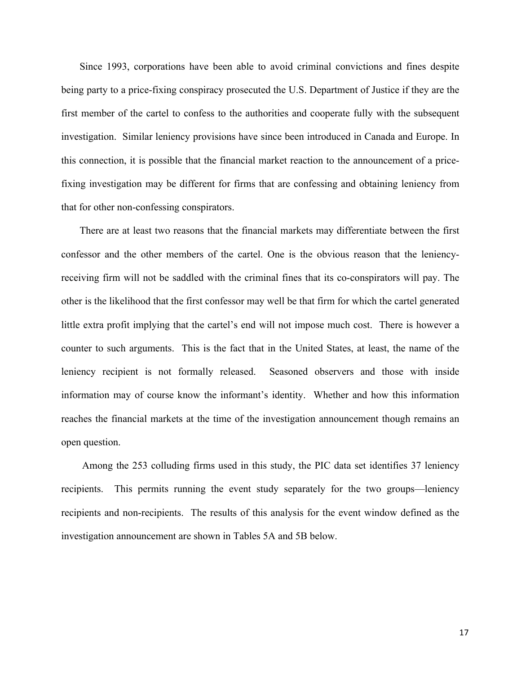Since 1993, corporations have been able to avoid criminal convictions and fines despite being party to a price-fixing conspiracy prosecuted the U.S. Department of Justice if they are the first member of the cartel to confess to the authorities and cooperate fully with the subsequent investigation. Similar leniency provisions have since been introduced in Canada and Europe. In this connection, it is possible that the financial market reaction to the announcement of a pricefixing investigation may be different for firms that are confessing and obtaining leniency from that for other non-confessing conspirators.

There are at least two reasons that the financial markets may differentiate between the first confessor and the other members of the cartel. One is the obvious reason that the leniencyreceiving firm will not be saddled with the criminal fines that its co-conspirators will pay. The other is the likelihood that the first confessor may well be that firm for which the cartel generated little extra profit implying that the cartel's end will not impose much cost. There is however a counter to such arguments. This is the fact that in the United States, at least, the name of the leniency recipient is not formally released. Seasoned observers and those with inside information may of course know the informant's identity. Whether and how this information reaches the financial markets at the time of the investigation announcement though remains an open question.

Among the 253 colluding firms used in this study, the PIC data set identifies 37 leniency recipients. This permits running the event study separately for the two groups—leniency recipients and non-recipients. The results of this analysis for the event window defined as the investigation announcement are shown in Tables 5A and 5B below.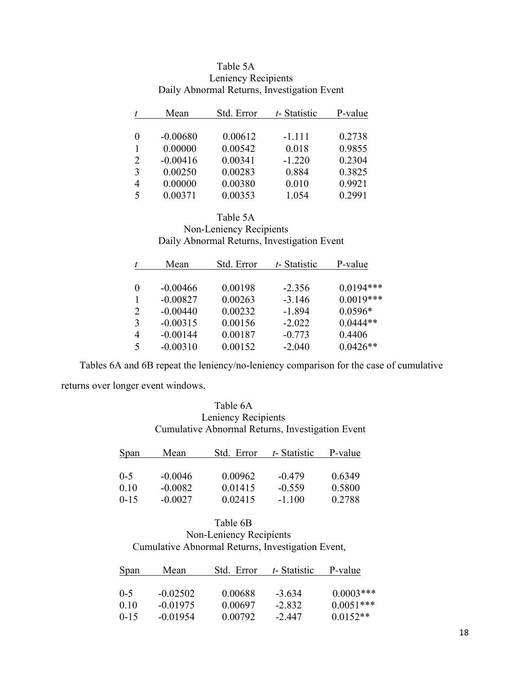| t              | Mean       | Std. Error | t-Statistic | P-value |
|----------------|------------|------------|-------------|---------|
| $\theta$       | $-0.00680$ | 0.00612    | $-1.111$    | 0.2738  |
| $\mathbf{1}$   | 0.00000    | 0.00542    | 0.018       | 0.9855  |
| $\overline{2}$ | $-0.00416$ | 0.00341    | $-1.220$    | 0.2304  |
| 3              | 0.00250    | 0.00283    | 0.884       | 0.3825  |
| $\overline{4}$ | 0.00000    | 0.00380    | 0.010       | 0.9921  |
| 5              | 0.00371    | 0.00353    | 1.054       | 0.2991  |

### Table 5A Leniency Recipients Daily Abnormal Returns, Investigation Event

#### Table 5A

Non-Leniency Recipients Daily Abnormal Returns, Investigation Event

|                          | Mean       | Std. Error | t-Statistic | P-value     |
|--------------------------|------------|------------|-------------|-------------|
|                          |            |            |             |             |
| $\Omega$                 | $-0.00466$ | 0.00198    | $-2.356$    | $0.0194***$ |
|                          | $-0.00827$ | 0.00263    | $-3.146$    | $0.0019***$ |
| 2                        | $-0.00440$ | 0.00232    | $-1.894$    | $0.0596*$   |
| 3                        | $-0.00315$ | 0.00156    | $-2.022$    | $0.0444**$  |
| 4                        | $-0.00144$ | 0.00187    | $-0.773$    | 0.4406      |
| $\overline{\mathcal{L}}$ | $-0.00310$ | 0.00152    | $-2.040$    | $0.0426**$  |

Tables 6A and 6B repeat the leniency/no-leniency comparison for the case of cumulative returns over longer event windows.

> Table 6A Leniency Recipients Cumulative Abnormal Returns, Investigation Event

| Span     | Mean      | Std. Error  | t-Statistic | P-value |
|----------|-----------|-------------|-------------|---------|
| $0 - 5$  | $-0.0046$ | 0.00962     | $-0.479$    | 0.6349  |
| 010      | $-0.0082$ | 0.01415     | $-0.559$    | 0.5800  |
| $0 - 15$ | $-0.0027$ | 0 0 2 4 1 5 | $-1100$     | 0.2788  |

#### Table 6B Non-Leniency Recipients Cumulative Abnormal Returns, Investigation Event,

| <b>Span</b> | Mean       | Std. Error | t-Statistic | P-value     |
|-------------|------------|------------|-------------|-------------|
| $0 - 5$     | $-0.02502$ | 0.00688    | $-3634$     | $0.0003***$ |
| 010         | $-0.01975$ | 0.00697    | $-2.832$    | $0.0051***$ |
| $0 - 15$    | $-0.01954$ | 0.00792    | -2 447      | $0.0152**$  |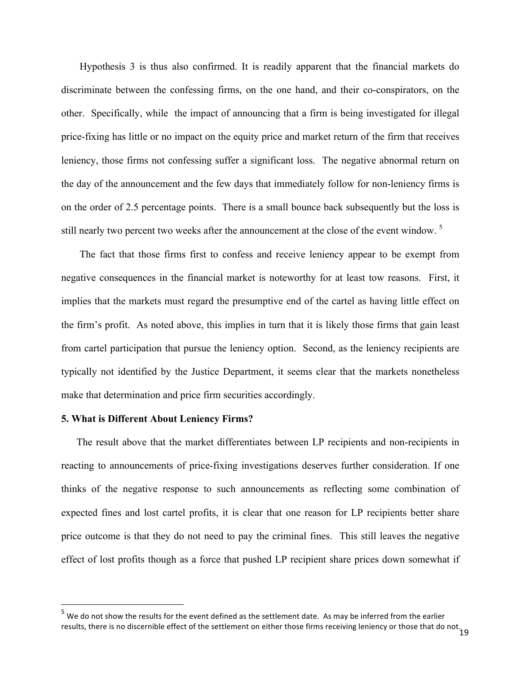Hypothesis 3 is thus also confirmed. It is readily apparent that the financial markets do discriminate between the confessing firms, on the one hand, and their co-conspirators, on the other. Specifically, while the impact of announcing that a firm is being investigated for illegal price-fixing has little or no impact on the equity price and market return of the firm that receives leniency, those firms not confessing suffer a significant loss. The negative abnormal return on the day of the announcement and the few days that immediately follow for non-leniency firms is on the order of 2.5 percentage points. There is a small bounce back subsequently but the loss is still nearly two percent two weeks after the announcement at the close of the event window.<sup>5</sup>

The fact that those firms first to confess and receive leniency appear to be exempt from negative consequences in the financial market is noteworthy for at least tow reasons. First, it implies that the markets must regard the presumptive end of the cartel as having little effect on the firm's profit. As noted above, this implies in turn that it is likely those firms that gain least from cartel participation that pursue the leniency option. Second, as the leniency recipients are typically not identified by the Justice Department, it seems clear that the markets nonetheless make that determination and price firm securities accordingly.

#### **5. What is Different About Leniency Firms?**

<u> 1989 - Johann Stein, fransk politik (d. 1989)</u>

The result above that the market differentiates between LP recipients and non-recipients in reacting to announcements of price-fixing investigations deserves further consideration. If one thinks of the negative response to such announcements as reflecting some combination of expected fines and lost cartel profits, it is clear that one reason for LP recipients better share price outcome is that they do not need to pay the criminal fines. This still leaves the negative effect of lost profits though as a force that pushed LP recipient share prices down somewhat if

results, there is no discernible effect of the settlement on either those firms receiving leniency or those that do not.<br>19  $^5$  We do not show the results for the event defined as the settlement date. As may be inferred from the earlier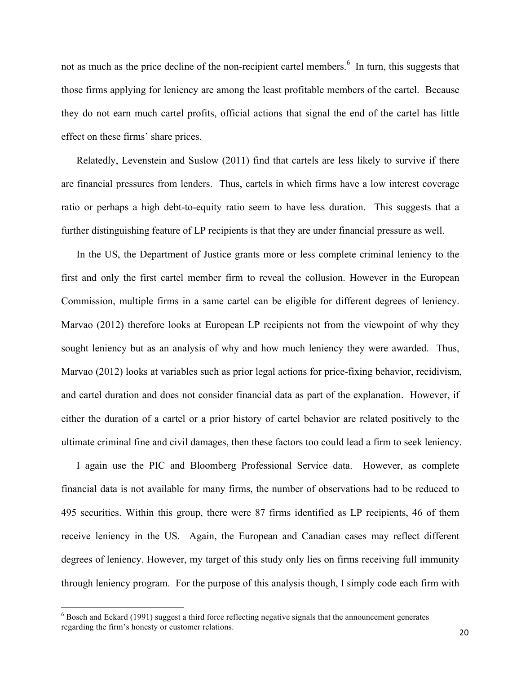not as much as the price decline of the non-recipient cartel members.<sup>6</sup> In turn, this suggests that those firms applying for leniency are among the least profitable members of the cartel. Because they do not earn much cartel profits, official actions that signal the end of the cartel has little effect on these firms' share prices.

Relatedly, Levenstein and Suslow (2011) find that cartels are less likely to survive if there are financial pressures from lenders. Thus, cartels in which firms have a low interest coverage ratio or perhaps a high debt-to-equity ratio seem to have less duration. This suggests that a further distinguishing feature of LP recipients is that they are under financial pressure as well.

In the US, the Department of Justice grants more or less complete criminal leniency to the first and only the first cartel member firm to reveal the collusion. However in the European Commission, multiple firms in a same cartel can be eligible for different degrees of leniency. Marvao (2012) therefore looks at European LP recipients not from the viewpoint of why they sought leniency but as an analysis of why and how much leniency they were awarded. Thus, Marvao (2012) looks at variables such as prior legal actions for price-fixing behavior, recidivism, and cartel duration and does not consider financial data as part of the explanation. However, if either the duration of a cartel or a prior history of cartel behavior are related positively to the ultimate criminal fine and civil damages, then these factors too could lead a firm to seek leniency.

I again use the PIC and Bloomberg Professional Service data. However, as complete financial data is not available for many firms, the number of observations had to be reduced to 495 securities. Within this group, there were 87 firms identified as LP recipients, 46 of them receive leniency in the US. Again, the European and Canadian cases may reflect different degrees of leniency. However, my target of this study only lies on firms receiving full immunity through leniency program. For the purpose of this analysis though, I simply code each firm with

<u> 1989 - Johann Stein, fransk politik (d. 1989)</u>

 $6$  Bosch and Eckard (1991) suggest a third force reflecting negative signals that the announcement generates regarding the firm's honesty or customer relations.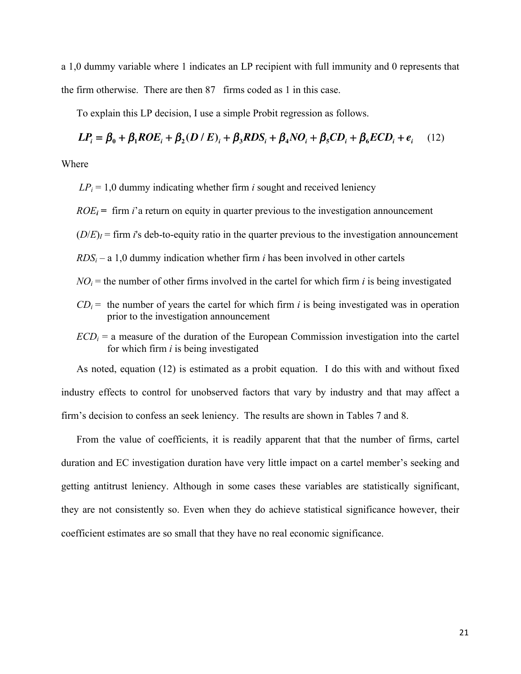a 1,0 dummy variable where 1 indicates an LP recipient with full immunity and 0 represents that the firm otherwise. There are then 87 firms coded as 1 in this case.

To explain this LP decision, I use a simple Probit regression as follows.

# $LP_i = \beta_0 + \beta_1 ROE_i + \beta_2 (D / E)_i + \beta_3 RDS_i + \beta_4 NO_i + \beta_5 CD_i + \beta_6 ECD_i + e_i$  (12)

Where

 $LP_i = 1.0$  dummy indicating whether firm *i* sought and received leniency

 $ROE_i$  = firm *i*'a return on equity in quarter previous to the investigation announcement

 $(D/E)_I$  = firm *i*'s deb-to-equity ratio in the quarter previous to the investigation announcement

 $RDS_i - a 1.0$  dummy indication whether firm *i* has been involved in other cartels

- $NO<sub>i</sub>$  = the number of other firms involved in the cartel for which firm *i* is being investigated
- $CD_i$  = the number of years the cartel for which firm *i* is being investigated was in operation prior to the investigation announcement
- $ECD_i$  = a measure of the duration of the European Commission investigation into the cartel for which firm *i* is being investigated

As noted, equation (12) is estimated as a probit equation. I do this with and without fixed industry effects to control for unobserved factors that vary by industry and that may affect a firm's decision to confess an seek leniency. The results are shown in Tables 7 and 8.

From the value of coefficients, it is readily apparent that that the number of firms, cartel duration and EC investigation duration have very little impact on a cartel member's seeking and getting antitrust leniency. Although in some cases these variables are statistically significant, they are not consistently so. Even when they do achieve statistical significance however, their coefficient estimates are so small that they have no real economic significance.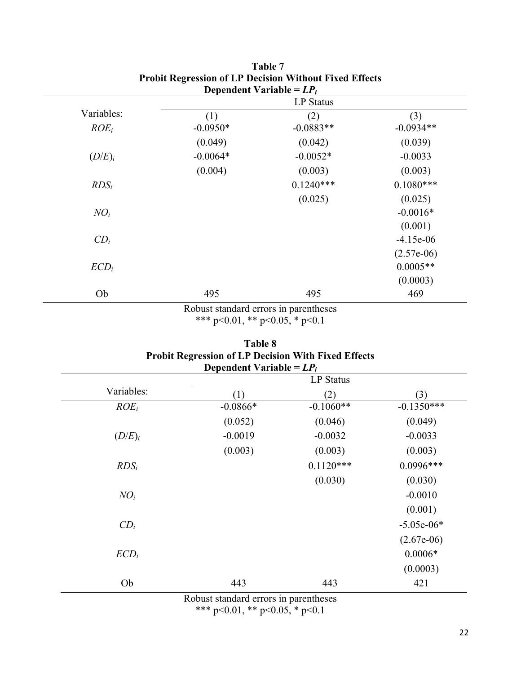|                 |            | Dependent variable $= L P_i$<br>LP Status |              |
|-----------------|------------|-------------------------------------------|--------------|
| Variables:      | (1)        | (2)                                       | (3)          |
| $ROE_i$         | $-0.0950*$ | $-0.0883**$                               | $-0.0934**$  |
|                 | (0.049)    | (0.042)                                   | (0.039)      |
| $(D/E)_i$       | $-0.0064*$ | $-0.0052*$                                | $-0.0033$    |
|                 | (0.004)    | (0.003)                                   | (0.003)      |
| $RDS_i$         |            | $0.1240***$                               | $0.1080***$  |
|                 |            | (0.025)                                   | (0.025)      |
| $NO_i$          |            |                                           | $-0.0016*$   |
|                 |            |                                           | (0.001)      |
| CD <sub>i</sub> |            |                                           | $-4.15e-06$  |
|                 |            |                                           | $(2.57e-06)$ |
| $ECD_i$         |            |                                           | $0.0005**$   |
|                 |            |                                           | (0.0003)     |
| Ob              | 495        | 495                                       | 469          |

### **Table 7 Probit Regression of LP Decision Without Fixed Effects Dependent Variable =** *LPi*

Robust standard errors in parentheses \*\*\* p<0.01, \*\* p<0.05, \* p<0.1

| Table 8                                                    |
|------------------------------------------------------------|
| <b>Probit Regression of LP Decision With Fixed Effects</b> |
| Dependent Variable = $LP_i$                                |

|            |            | <b>LP</b> Status |              |
|------------|------------|------------------|--------------|
| Variables: | (1)        | (2)              | (3)          |
| $ROE_i$    | $-0.0866*$ | $-0.1060**$      | $-0.1350***$ |
|            | (0.052)    | (0.046)          | (0.049)      |
| $(D/E)_i$  | $-0.0019$  | $-0.0032$        | $-0.0033$    |
|            | (0.003)    | (0.003)          | (0.003)      |
| $RDS_i$    |            | $0.1120***$      | $0.0996***$  |
|            |            | (0.030)          | (0.030)      |
| $NO_i$     |            |                  | $-0.0010$    |
|            |            |                  | (0.001)      |
| $CD_i$     |            |                  | $-5.05e-06*$ |
|            |            |                  | $(2.67e-06)$ |
| $ECD_i$    |            |                  | $0.0006*$    |
|            |            |                  | (0.0003)     |
| Ob         | 443        | 443              | 421          |

Robust standard errors in parentheses

\*\*\* p<0.01, \*\* p<0.05, \* p<0.1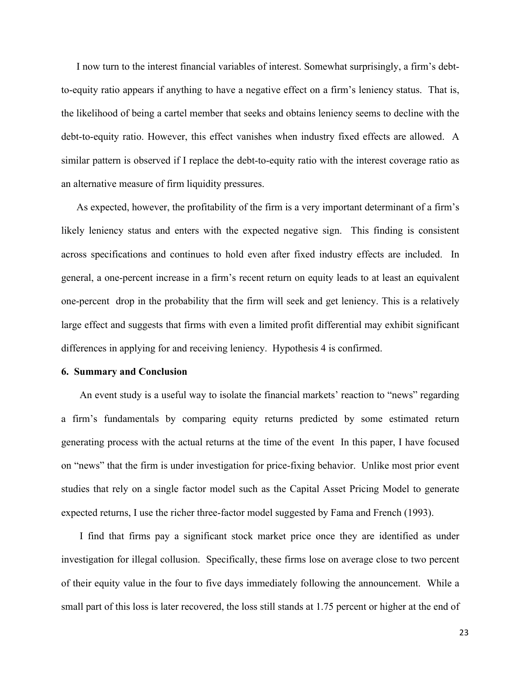I now turn to the interest financial variables of interest. Somewhat surprisingly, a firm's debtto-equity ratio appears if anything to have a negative effect on a firm's leniency status. That is, the likelihood of being a cartel member that seeks and obtains leniency seems to decline with the debt-to-equity ratio. However, this effect vanishes when industry fixed effects are allowed. A similar pattern is observed if I replace the debt-to-equity ratio with the interest coverage ratio as an alternative measure of firm liquidity pressures.

As expected, however, the profitability of the firm is a very important determinant of a firm's likely leniency status and enters with the expected negative sign. This finding is consistent across specifications and continues to hold even after fixed industry effects are included. In general, a one-percent increase in a firm's recent return on equity leads to at least an equivalent one-percent drop in the probability that the firm will seek and get leniency. This is a relatively large effect and suggests that firms with even a limited profit differential may exhibit significant differences in applying for and receiving leniency. Hypothesis 4 is confirmed.

#### **6. Summary and Conclusion**

An event study is a useful way to isolate the financial markets' reaction to "news" regarding a firm's fundamentals by comparing equity returns predicted by some estimated return generating process with the actual returns at the time of the event In this paper, I have focused on "news" that the firm is under investigation for price-fixing behavior. Unlike most prior event studies that rely on a single factor model such as the Capital Asset Pricing Model to generate expected returns, I use the richer three-factor model suggested by Fama and French (1993).

I find that firms pay a significant stock market price once they are identified as under investigation for illegal collusion. Specifically, these firms lose on average close to two percent of their equity value in the four to five days immediately following the announcement. While a small part of this loss is later recovered, the loss still stands at 1.75 percent or higher at the end of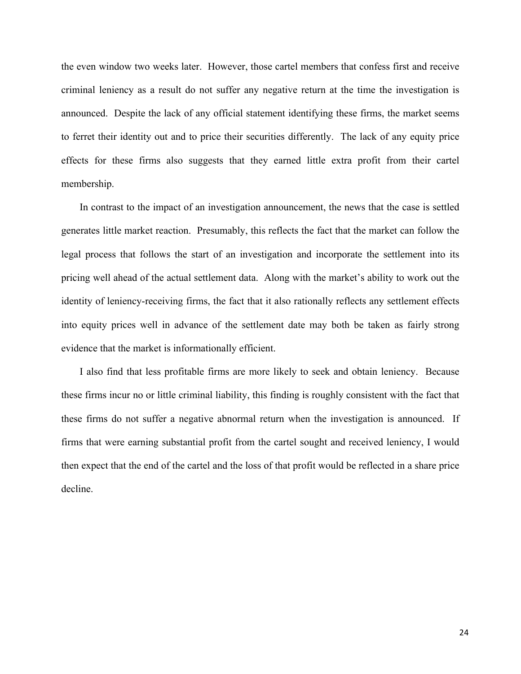the even window two weeks later. However, those cartel members that confess first and receive criminal leniency as a result do not suffer any negative return at the time the investigation is announced. Despite the lack of any official statement identifying these firms, the market seems to ferret their identity out and to price their securities differently. The lack of any equity price effects for these firms also suggests that they earned little extra profit from their cartel membership.

In contrast to the impact of an investigation announcement, the news that the case is settled generates little market reaction. Presumably, this reflects the fact that the market can follow the legal process that follows the start of an investigation and incorporate the settlement into its pricing well ahead of the actual settlement data. Along with the market's ability to work out the identity of leniency-receiving firms, the fact that it also rationally reflects any settlement effects into equity prices well in advance of the settlement date may both be taken as fairly strong evidence that the market is informationally efficient.

I also find that less profitable firms are more likely to seek and obtain leniency. Because these firms incur no or little criminal liability, this finding is roughly consistent with the fact that these firms do not suffer a negative abnormal return when the investigation is announced. If firms that were earning substantial profit from the cartel sought and received leniency, I would then expect that the end of the cartel and the loss of that profit would be reflected in a share price decline.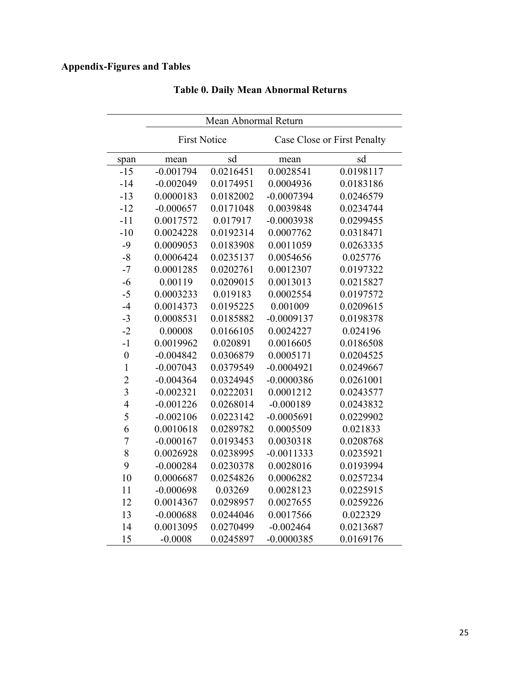## **Appendix-Figures and Tables**

|                | Mean Abnormal Return |           |                             |           |
|----------------|----------------------|-----------|-----------------------------|-----------|
|                | <b>First Notice</b>  |           | Case Close or First Penalty |           |
| span           | mean                 | sd        | mean                        | sd        |
| $-15$          | $-0.001794$          | 0.0216451 | 0.0028541                   | 0.0198117 |
| $-14$          | $-0.002049$          | 0.0174951 | 0.0004936                   | 0.0183186 |
| $-13$          | 0.0000183            | 0.0182002 | $-0.0007394$                | 0.0246579 |
| $-12$          | $-0.000657$          | 0.0171048 | 0.0039848                   | 0.0234744 |
| $-11$          | 0.0017572            | 0.017917  | $-0.0003938$                | 0.0299455 |
| $-10$          | 0.0024228            | 0.0192314 | 0.0007762                   | 0.0318471 |
| $-9$           | 0.0009053            | 0.0183908 | 0.0011059                   | 0.0263335 |
| $-8$           | 0.0006424            | 0.0235137 | 0.0054656                   | 0.025776  |
| $-7$           | 0.0001285            | 0.0202761 | 0.0012307                   | 0.0197322 |
| $-6$           | 0.00119              | 0.0209015 | 0.0013013                   | 0.0215827 |
| $-5$           | 0.0003233            | 0.019183  | 0.0002554                   | 0.0197572 |
| $-4$           | 0.0014373            | 0.0195225 | 0.001009                    | 0.0209615 |
| $-3$           | 0.0008531            | 0.0185882 | $-0.0009137$                | 0.0198378 |
| $-2$           | 0.00008              | 0.0166105 | 0.0024227                   | 0.024196  |
| $-1$           | 0.0019962            | 0.020891  | 0.0016605                   | 0.0186508 |
| $\mathbf{0}$   | $-0.004842$          | 0.0306879 | 0.0005171                   | 0.0204525 |
| $\mathbf{1}$   | $-0.007043$          | 0.0379549 | $-0.0004921$                | 0.0249667 |
| $\overline{2}$ | $-0.004364$          | 0.0324945 | $-0.0000386$                | 0.0261001 |
| $\overline{3}$ | $-0.002321$          | 0.0222031 | 0.0001212                   | 0.0243577 |
| $\overline{4}$ | $-0.001226$          | 0.0268014 | $-0.000189$                 | 0.0243832 |
| 5              | $-0.002106$          | 0.0223142 | $-0.0005691$                | 0.0229902 |
| 6              | 0.0010618            | 0.0289782 | 0.0005509                   | 0.021833  |
| $\overline{7}$ | $-0.000167$          | 0.0193453 | 0.0030318                   | 0.0208768 |
| 8              | 0.0026928            | 0.0238995 | $-0.0011333$                | 0.0235921 |
| 9              | $-0.000284$          | 0.0230378 | 0.0028016                   | 0.0193994 |
| 10             | 0.0006687            | 0.0254826 | 0.0006282                   | 0.0257234 |
| 11             | $-0.000698$          | 0.03269   | 0.0028123                   | 0.0225915 |
| 12             | 0.0014367            | 0.0298957 | 0.0027655                   | 0.0259226 |
| 13             | $-0.000688$          | 0.0244046 | 0.0017566                   | 0.022329  |
| 14             | 0.0013095            | 0.0270499 | $-0.002464$                 | 0.0213687 |
| 15             | $-0.0008$            | 0.0245897 | $-0.0000385$                | 0.0169176 |

## **Table 0. Daily Mean Abnormal Returns**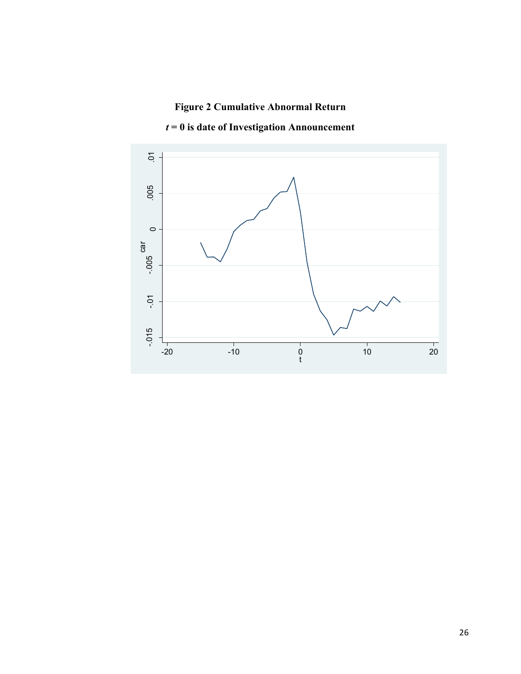## **Figure 2 Cumulative Abnormal Return**



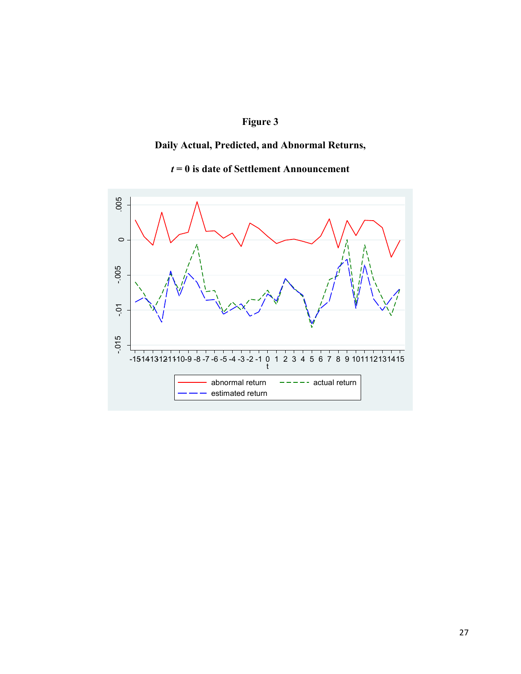## **Figure 3**

## **Daily Actual, Predicted, and Abnormal Returns,**

## *t* **= 0 is date of Settlement Announcement**

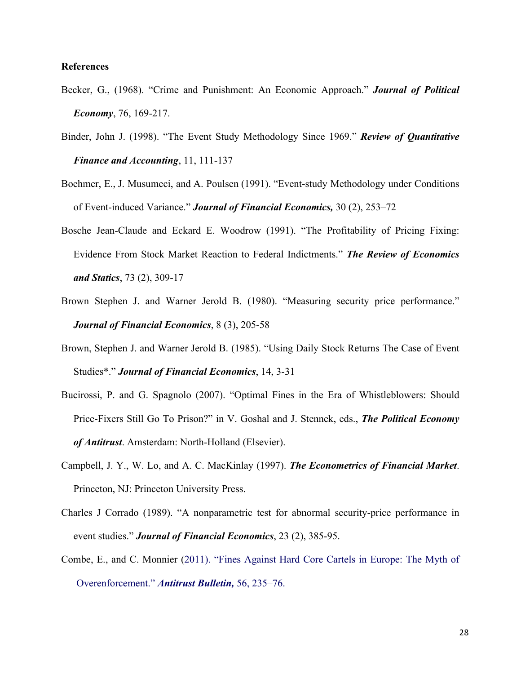#### **References**

- Becker, G., (1968). "Crime and Punishment: An Economic Approach." *Journal of Political Economy*, 76, 169-217.
- Binder, John J. (1998). "The Event Study Methodology Since 1969." *Review of Quantitative Finance and Accounting*, 11, 111-137
- Boehmer, E., J. Musumeci, and A. Poulsen (1991). "Event-study Methodology under Conditions of Event-induced Variance." *Journal of Financial Economics,* 30 (2), 253–72
- Bosche Jean-Claude and Eckard E. Woodrow (1991). "The Profitability of Pricing Fixing: Evidence From Stock Market Reaction to Federal Indictments." *The Review of Economics and Statics*, 73 (2), 309-17
- Brown Stephen J. and Warner Jerold B. (1980). "Measuring security price performance." *Journal of Financial Economics*, 8 (3), 205-58
- Brown, Stephen J. and Warner Jerold B. (1985). "Using Daily Stock Returns The Case of Event Studies\*." *Journal of Financial Economics*, 14, 3-31
- Bucirossi, P. and G. Spagnolo (2007). "Optimal Fines in the Era of Whistleblowers: Should Price-Fixers Still Go To Prison?" in V. Goshal and J. Stennek, eds., *The Political Economy of Antitrust*. Amsterdam: North-Holland (Elsevier).
- Campbell, J. Y., W. Lo, and A. C. MacKinlay (1997). *The Econometrics of Financial Market*. Princeton, NJ: Princeton University Press.
- Charles J Corrado (1989). "A nonparametric test for abnormal security-price performance in event studies." *Journal of Financial Economics*, 23 (2), 385-95.
- Combe, E., and C. Monnier (2011). "Fines Against Hard Core Cartels in Europe: The Myth of Overenforcement." *Antitrust Bulletin,* 56, 235–76.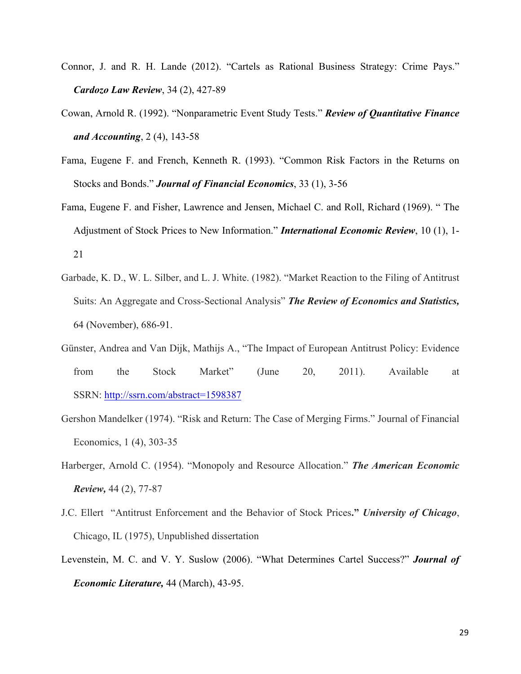- Connor, J. and R. H. Lande (2012). "Cartels as Rational Business Strategy: Crime Pays." *Cardozo Law Review*, 34 (2), 427-89
- Cowan, Arnold R. (1992). "Nonparametric Event Study Tests." *Review of Quantitative Finance and Accounting*, 2 (4), 143-58
- Fama, Eugene F. and French, Kenneth R. (1993). "Common Risk Factors in the Returns on Stocks and Bonds." *Journal of Financial Economics*, 33 (1), 3-56
- Fama, Eugene F. and Fisher, Lawrence and Jensen, Michael C. and Roll, Richard (1969). " The Adjustment of Stock Prices to New Information." *International Economic Review*, 10 (1), 1- 21
- Garbade, K. D., W. L. Silber, and L. J. White. (1982). "Market Reaction to the Filing of Antitrust Suits: An Aggregate and Cross-Sectional Analysis" *The Review of Economics and Statistics,* 64 (November), 686-91.
- Günster, Andrea and Van Dijk, Mathijs A., "The Impact of European Antitrust Policy: Evidence from the Stock Market" (June 20, 2011). Available at SSRN: http://ssrn.com/abstract=1598387
- Gershon Mandelker (1974). "Risk and Return: The Case of Merging Firms." Journal of Financial Economics, 1 (4), 303-35
- Harberger, Arnold C. (1954). "Monopoly and Resource Allocation." *The American Economic Review,* 44 (2), 77-87
- J.C. Ellert "Antitrust Enforcement and the Behavior of Stock Prices**."** *University of Chicago*, Chicago, IL (1975), Unpublished dissertation
- Levenstein, M. C. and V. Y. Suslow (2006). "What Determines Cartel Success?" *Journal of Economic Literature,* 44 (March), 43-95.